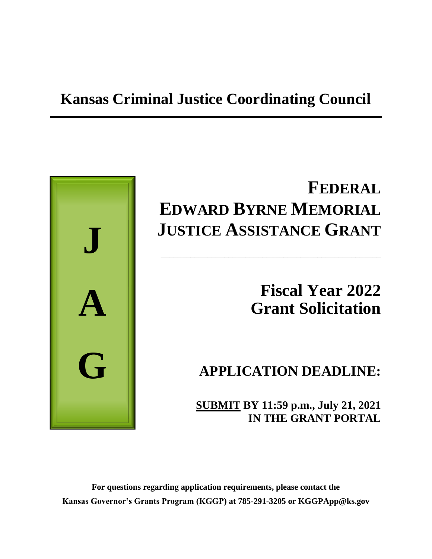# **Kansas Criminal Justice Coordinating Council**



# **FEDERAL EDWARD BYRNE MEMORIAL JUSTICE ASSISTANCE GRANT**

\_\_\_\_\_\_\_\_\_\_\_\_\_\_\_\_\_\_\_\_\_\_\_\_\_\_\_\_\_\_\_\_\_\_\_\_\_\_\_\_\_\_\_\_\_\_\_\_\_\_\_\_

# **Fiscal Year 2022 Grant Solicitation**

# **APPLICATION DEADLINE:**

**SUBMIT BY 11:59 p.m., July 21, 2021 IN THE GRANT PORTAL**

**For questions regarding application requirements, please contact the Kansas Governor's Grants Program (KGGP) at 785-291-3205 or KGGPApp@ks.gov**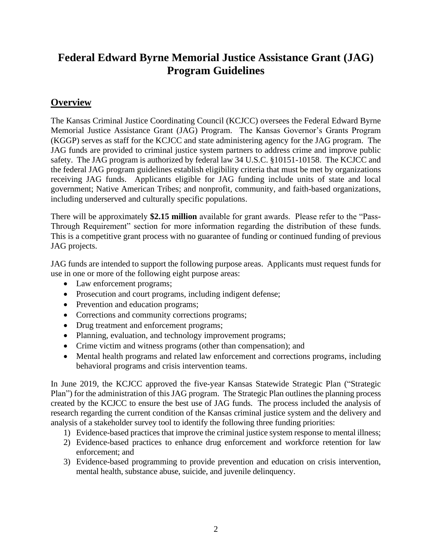# **Federal Edward Byrne Memorial Justice Assistance Grant (JAG) Program Guidelines**

# **Overview**

The Kansas Criminal Justice Coordinating Council (KCJCC) oversees the Federal Edward Byrne Memorial Justice Assistance Grant (JAG) Program. The Kansas Governor's Grants Program (KGGP) serves as staff for the KCJCC and state administering agency for the JAG program. The JAG funds are provided to criminal justice system partners to address crime and improve public safety. The JAG program is authorized by federal law 34 U.S.C. §10151-10158. The KCJCC and the federal JAG program guidelines establish eligibility criteria that must be met by organizations receiving JAG funds. Applicants eligible for JAG funding include units of state and local government; Native American Tribes; and nonprofit, community, and faith-based organizations, including underserved and culturally specific populations.

There will be approximately **\$2.15 million** available for grant awards. Please refer to the "Pass-Through Requirement" section for more information regarding the distribution of these funds. This is a competitive grant process with no guarantee of funding or continued funding of previous JAG projects.

JAG funds are intended to support the following purpose areas. Applicants must request funds for use in one or more of the following eight purpose areas:

- Law enforcement programs;
- Prosecution and court programs, including indigent defense;
- Prevention and education programs;
- Corrections and community corrections programs;
- Drug treatment and enforcement programs;
- Planning, evaluation, and technology improvement programs;
- Crime victim and witness programs (other than compensation); and
- Mental health programs and related law enforcement and corrections programs, including behavioral programs and crisis intervention teams.

In June 2019, the KCJCC approved the five-year Kansas Statewide Strategic Plan ("Strategic Plan") for the administration of this JAG program. The Strategic Plan outlines the planning process created by the KCJCC to ensure the best use of JAG funds. The process included the analysis of research regarding the current condition of the Kansas criminal justice system and the delivery and analysis of a stakeholder survey tool to identify the following three funding priorities:

- 1) Evidence-based practices that improve the criminal justice system response to mental illness;
- 2) Evidence-based practices to enhance drug enforcement and workforce retention for law enforcement; and
- 3) Evidence-based programming to provide prevention and education on crisis intervention, mental health, substance abuse, suicide, and juvenile delinquency.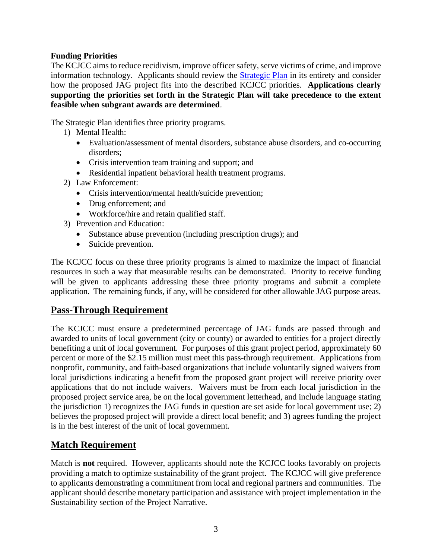## **Funding Priorities**

The KCJCC aims to reduce recidivism, improve officer safety, serve victims of crime, and improve information technology. Applicants should review the [Strategic Plan](http://www.grants.ks.gov/opportunities/edward-j-byrne-memorial-justice-assistance-grant-(jag)) in its entirety and consider how the proposed JAG project fits into the described KCJCC priorities. **Applications clearly supporting the priorities set forth in the Strategic Plan will take precedence to the extent feasible when subgrant awards are determined**.

The Strategic Plan identifies three priority programs.

- 1) Mental Health:
	- Evaluation/assessment of mental disorders, substance abuse disorders, and co-occurring disorders;
	- Crisis intervention team training and support; and
	- Residential inpatient behavioral health treatment programs.
- 2) Law Enforcement:
	- Crisis intervention/mental health/suicide prevention;
	- Drug enforcement; and
	- Workforce/hire and retain qualified staff.
- 3) Prevention and Education:
	- Substance abuse prevention (including prescription drugs); and
	- Suicide prevention.

The KCJCC focus on these three priority programs is aimed to maximize the impact of financial resources in such a way that measurable results can be demonstrated. Priority to receive funding will be given to applicants addressing these three priority programs and submit a complete application. The remaining funds, if any, will be considered for other allowable JAG purpose areas.

# **Pass-Through Requirement**

The KCJCC must ensure a predetermined percentage of JAG funds are passed through and awarded to units of local government (city or county) or awarded to entities for a project directly benefiting a unit of local government. For purposes of this grant project period, approximately 60 percent or more of the \$2.15 million must meet this pass-through requirement. Applications from nonprofit, community, and faith-based organizations that include voluntarily signed waivers from local jurisdictions indicating a benefit from the proposed grant project will receive priority over applications that do not include waivers. Waivers must be from each local jurisdiction in the proposed project service area, be on the local government letterhead, and include language stating the jurisdiction 1) recognizes the JAG funds in question are set aside for local government use; 2) believes the proposed project will provide a direct local benefit; and 3) agrees funding the project is in the best interest of the unit of local government.

# **Match Requirement**

Match is **not** required. However, applicants should note the KCJCC looks favorably on projects providing a match to optimize sustainability of the grant project. The KCJCC will give preference to applicants demonstrating a commitment from local and regional partners and communities. The applicant should describe monetary participation and assistance with project implementation in the Sustainability section of the Project Narrative.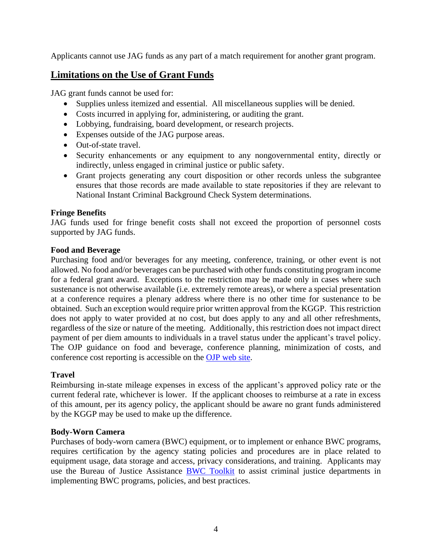Applicants cannot use JAG funds as any part of a match requirement for another grant program.

# **Limitations on the Use of Grant Funds**

JAG grant funds cannot be used for:

- Supplies unless itemized and essential. All miscellaneous supplies will be denied.
- Costs incurred in applying for, administering, or auditing the grant.
- Lobbying, fundraising, board development, or research projects.
- Expenses outside of the JAG purpose areas.
- Out-of-state travel.
- Security enhancements or any equipment to any nongovernmental entity, directly or indirectly, unless engaged in criminal justice or public safety.
- Grant projects generating any court disposition or other records unless the subgrantee ensures that those records are made available to state repositories if they are relevant to National Instant Criminal Background Check System determinations.

## **Fringe Benefits**

JAG funds used for fringe benefit costs shall not exceed the proportion of personnel costs supported by JAG funds.

## **Food and Beverage**

Purchasing food and/or beverages for any meeting, conference, training, or other event is not allowed. No food and/or beverages can be purchased with other funds constituting program income for a federal grant award. Exceptions to the restriction may be made only in cases where such sustenance is not otherwise available (i.e. extremely remote areas), or where a special presentation at a conference requires a plenary address where there is no other time for sustenance to be obtained. Such an exception would require prior written approval from the KGGP. This restriction does not apply to water provided at no cost, but does apply to any and all other refreshments, regardless of the size or nature of the meeting. Additionally, this restriction does not impact direct payment of per diem amounts to individuals in a travel status under the applicant's travel policy. The OJP guidance on food and beverage, conference planning, minimization of costs, and conference cost reporting is accessible on the [OJP web site.](http://ojp.gov/financialguide/DOJ/index.htm)

## **Travel**

Reimbursing in-state mileage expenses in excess of the applicant's approved policy rate or the current federal rate, whichever is lower. If the applicant chooses to reimburse at a rate in excess of this amount, per its agency policy, the applicant should be aware no grant funds administered by the KGGP may be used to make up the difference.

## **Body-Worn Camera**

Purchases of body-worn camera (BWC) equipment, or to implement or enhance BWC programs, requires certification by the agency stating policies and procedures are in place related to equipment usage, data storage and access, privacy considerations, and training. Applicants may use the Bureau of Justice Assistance [BWC Toolkit](https://www.bja.gov/bwc) to assist criminal justice departments in implementing BWC programs, policies, and best practices.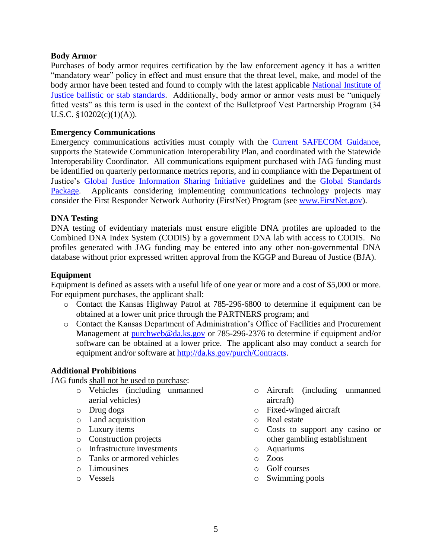#### **Body Armor**

Purchases of body armor requires certification by the law enforcement agency it has a written "mandatory wear" policy in effect and must ensure that the threat level, make, and model of the body armor have been tested and found to comply with the latest applicable [National Institute of](https://www.nij.gov/topics/technology/body-armor/Pages/standards.aspx)  [Justice ballistic or stab standards.](https://www.nij.gov/topics/technology/body-armor/Pages/standards.aspx) Additionally, body armor or armor vests must be "uniquely fitted vests" as this term is used in the context of the Bulletproof Vest Partnership Program (34 U.S.C. §10202(c)(1)(A)).

#### **Emergency Communications**

Emergency communications activities must comply with the [Current SAFECOM Guidance,](https://www.dhs.gov/publication/funding-documents) supports the Statewide Communication Interoperability Plan, and coordinated with the Statewide Interoperability Coordinator. All communications equipment purchased with JAG funding must be identified on quarterly performance metrics reports, and in compliance with the Department of Justice's [Global Justice Information Sharing Initiative](https://it.ojp.gov/global) guidelines and the [Global Standards](https://www.it.ojp.gov/gsp_grantcondition)  [Package.](https://www.it.ojp.gov/gsp_grantcondition) Applicants considering implementing communications technology projects may consider the First Responder Network Authority (FirstNet) Program (see [www.FirstNet.gov\)](http://www.firstnet.gov/).

#### **DNA Testing**

DNA testing of evidentiary materials must ensure eligible DNA profiles are uploaded to the Combined DNA Index System (CODIS) by a government DNA lab with access to CODIS. No profiles generated with JAG funding may be entered into any other non-governmental DNA database without prior expressed written approval from the KGGP and Bureau of Justice (BJA).

#### **Equipment**

Equipment is defined as assets with a useful life of one year or more and a cost of \$5,000 or more. For equipment purchases, the applicant shall:

- o Contact the Kansas Highway Patrol at 785-296-6800 to determine if equipment can be obtained at a lower unit price through the PARTNERS program; and
- o Contact the Kansas Department of Administration's Office of Facilities and Procurement Management at [purchweb@da.ks.gov](mailto:purchweb@da.ks.gov) or 785-296-2376 to determine if equipment and/or software can be obtained at a lower price. The applicant also may conduct a search for equipment and/or software at [http://da.ks.gov/purch/Contracts.](http://da.ks.gov/purch/Contracts)

## **Additional Prohibitions**

JAG funds shall not be used to purchase:

- o Vehicles (including unmanned aerial vehicles)
- o Drug dogs
- o Land acquisition
- o Luxury items
- o Construction projects
- o Infrastructure investments
- o Tanks or armored vehicles
- o Limousines
- o Vessels
- o Aircraft (including unmanned aircraft)
- o Fixed-winged aircraft
- o Real estate
- o Costs to support any casino or other gambling establishment
- o Aquariums
- o Zoos
- o Golf courses
- o Swimming pools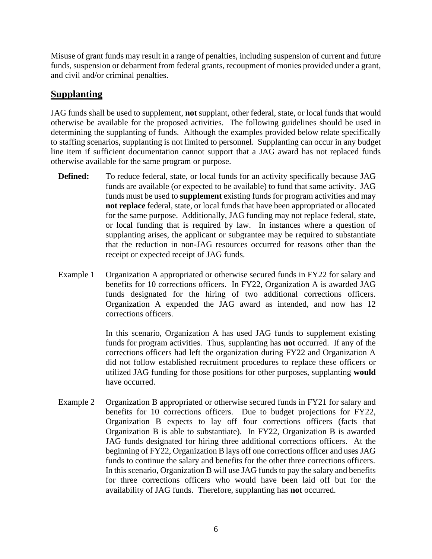Misuse of grant funds may result in a range of penalties, including suspension of current and future funds, suspension or debarment from federal grants, recoupment of monies provided under a grant, and civil and/or criminal penalties.

# **Supplanting**

JAG funds shall be used to supplement, **not** supplant, other federal, state, or local funds that would otherwise be available for the proposed activities. The following guidelines should be used in determining the supplanting of funds. Although the examples provided below relate specifically to staffing scenarios, supplanting is not limited to personnel. Supplanting can occur in any budget line item if sufficient documentation cannot support that a JAG award has not replaced funds otherwise available for the same program or purpose.

- **Defined:** To reduce federal, state, or local funds for an activity specifically because JAG funds are available (or expected to be available) to fund that same activity. JAG funds must be used to **supplement** existing funds for program activities and may **not replace** federal, state, or local funds that have been appropriated or allocated for the same purpose. Additionally, JAG funding may not replace federal, state, or local funding that is required by law. In instances where a question of supplanting arises, the applicant or subgrantee may be required to substantiate that the reduction in non-JAG resources occurred for reasons other than the receipt or expected receipt of JAG funds.
- Example 1 Organization A appropriated or otherwise secured funds in FY22 for salary and benefits for 10 corrections officers. In FY22, Organization A is awarded JAG funds designated for the hiring of two additional corrections officers. Organization A expended the JAG award as intended, and now has 12 corrections officers.

In this scenario, Organization A has used JAG funds to supplement existing funds for program activities. Thus, supplanting has **not** occurred. If any of the corrections officers had left the organization during FY22 and Organization A did not follow established recruitment procedures to replace these officers or utilized JAG funding for those positions for other purposes, supplanting **would** have occurred.

Example 2 Organization B appropriated or otherwise secured funds in FY21 for salary and benefits for 10 corrections officers. Due to budget projections for FY22, Organization B expects to lay off four corrections officers (facts that Organization B is able to substantiate). In FY22, Organization B is awarded JAG funds designated for hiring three additional corrections officers. At the beginning of FY22, Organization B lays off one corrections officer and uses JAG funds to continue the salary and benefits for the other three corrections officers. In this scenario, Organization B will use JAG funds to pay the salary and benefits for three corrections officers who would have been laid off but for the availability of JAG funds. Therefore, supplanting has **not** occurred.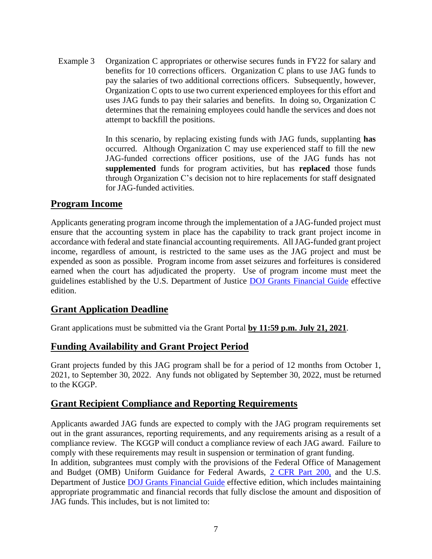Example 3 Organization C appropriates or otherwise secures funds in FY22 for salary and benefits for 10 corrections officers. Organization C plans to use JAG funds to pay the salaries of two additional corrections officers. Subsequently, however, Organization C opts to use two current experienced employees for this effort and uses JAG funds to pay their salaries and benefits. In doing so, Organization C determines that the remaining employees could handle the services and does not attempt to backfill the positions.

> In this scenario, by replacing existing funds with JAG funds, supplanting **has** occurred. Although Organization C may use experienced staff to fill the new JAG-funded corrections officer positions, use of the JAG funds has not **supplemented** funds for program activities, but has **replaced** those funds through Organization C's decision not to hire replacements for staff designated for JAG-funded activities.

# **Program Income**

Applicants generating program income through the implementation of a JAG-funded project must ensure that the accounting system in place has the capability to track grant project income in accordance with federal and state financial accounting requirements. All JAG**-**funded grant project income, regardless of amount, is restricted to the same uses as the JAG project and must be expended as soon as possible. Program income from asset seizures and forfeitures is considered earned when the court has adjudicated the property. Use of program income must meet the guidelines established by the U.S. Department of Justice [DOJ Grants Financial Guide](http://ojp.gov/financialguide/DOJ/index.htm) effective edition.

# **Grant Application Deadline**

Grant applications must be submitted via the Grant Portal **by 11:59 p.m. July 21, 2021**.

# **Funding Availability and Grant Project Period**

Grant projects funded by this JAG program shall be for a period of 12 months from October 1, 2021, to September 30, 2022. Any funds not obligated by September 30, 2022, must be returned to the KGGP.

# **Grant Recipient Compliance and Reporting Requirements**

Applicants awarded JAG funds are expected to comply with the JAG program requirements set out in the grant assurances, reporting requirements, and any requirements arising as a result of a compliance review. The KGGP will conduct a compliance review of each JAG award. Failure to comply with these requirements may result in suspension or termination of grant funding.

In addition, subgrantees must comply with the provisions of the Federal Office of Management and Budget (OMB) Uniform Guidance for Federal Awards, [2 CFR Part 200,](http://www.ecfr.gov/cgi-bin/text-idx?SID=2c6d1c9f8de1f9619110b4599d84a234&mc=true&node=pt2.1.200&rgn=div5#_top) and the U.S. Department of Justice [DOJ Grants Financial Guide](http://ojp.gov/financialguide/DOJ/index.htm) effective edition, which includes maintaining appropriate programmatic and financial records that fully disclose the amount and disposition of JAG funds. This includes, but is not limited to: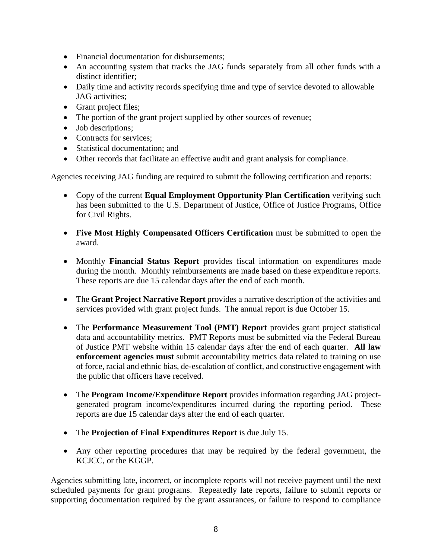- Financial documentation for disbursements;
- An accounting system that tracks the JAG funds separately from all other funds with a distinct identifier;
- Daily time and activity records specifying time and type of service devoted to allowable JAG activities;
- Grant project files;
- The portion of the grant project supplied by other sources of revenue;
- Job descriptions;
- Contracts for services:
- Statistical documentation; and
- Other records that facilitate an effective audit and grant analysis for compliance.

Agencies receiving JAG funding are required to submit the following certification and reports:

- Copy of the current **Equal Employment Opportunity Plan Certification** verifying such has been submitted to the U.S. Department of Justice, Office of Justice Programs, Office for Civil Rights.
- **Five Most Highly Compensated Officers Certification** must be submitted to open the award.
- Monthly **Financial Status Report** provides fiscal information on expenditures made during the month. Monthly reimbursements are made based on these expenditure reports. These reports are due 15 calendar days after the end of each month.
- The **Grant Project Narrative Report** provides a narrative description of the activities and services provided with grant project funds. The annual report is due October 15.
- The **Performance Measurement Tool (PMT) Report** provides grant project statistical data and accountability metrics. PMT Reports must be submitted via the Federal Bureau of Justice PMT website within 15 calendar days after the end of each quarter. **All law enforcement agencies must** submit accountability metrics data related to training on use of force, racial and ethnic bias, de-escalation of conflict, and constructive engagement with the public that officers have received.
- The **Program Income/Expenditure Report** provides information regarding JAG projectgenerated program income/expenditures incurred during the reporting period. These reports are due 15 calendar days after the end of each quarter.
- The **Projection of Final Expenditures Report** is due July 15.
- Any other reporting procedures that may be required by the federal government, the KCJCC, or the KGGP.

Agencies submitting late, incorrect, or incomplete reports will not receive payment until the next scheduled payments for grant programs. Repeatedly late reports, failure to submit reports or supporting documentation required by the grant assurances, or failure to respond to compliance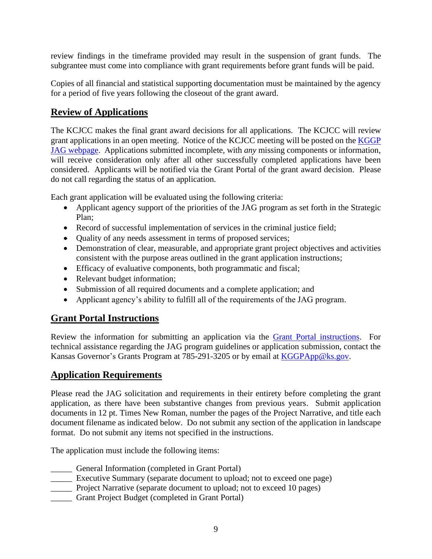review findings in the timeframe provided may result in the suspension of grant funds. The subgrantee must come into compliance with grant requirements before grant funds will be paid.

Copies of all financial and statistical supporting documentation must be maintained by the agency for a period of five years following the closeout of the grant award.

# **Review of Applications**

The KCJCC makes the final grant award decisions for all applications. The KCJCC will review grant applications in an open meeting. Notice of the KCJCC meeting will be posted on the [KGGP](http://www.grants.ks.gov/opportunities/edward-j-byrne-memorial-justice-assistance-grant-(jag))  [JAG webpage.](http://www.grants.ks.gov/opportunities/edward-j-byrne-memorial-justice-assistance-grant-(jag)) Applications submitted incomplete, with *any* missing components or information, will receive consideration only after all other successfully completed applications have been considered.Applicants will be notified via the Grant Portal of the grant award decision. Please do not call regarding the status of an application.

Each grant application will be evaluated using the following criteria:

- Applicant agency support of the priorities of the JAG program as set forth in the Strategic Plan;
- Record of successful implementation of services in the criminal justice field;
- Quality of any needs assessment in terms of proposed services;
- Demonstration of clear, measurable, and appropriate grant project objectives and activities consistent with the purpose areas outlined in the grant application instructions;
- Efficacy of evaluative components, both programmatic and fiscal;
- Relevant budget information;
- Submission of all required documents and a complete application; and
- Applicant agency's ability to fulfill all of the requirements of the JAG program.

# **Grant Portal Instructions**

Review the information for submitting an application via the [Grant Portal instructions.](http://grants.ks.gov/docs/default-source/how-to-guides/application-portal-instructions.pdf?sfvrsn=4) For technical assistance regarding the JAG program guidelines or application submission, contact the Kansas Governor's Grants Program at 785-291-3205 or by email at [KGGPApp@ks.gov.](mailto:KGGPApp@ks.gov)

# **Application Requirements**

Please read the JAG solicitation and requirements in their entirety before completing the grant application, as there have been substantive changes from previous years. Submit application documents in 12 pt. Times New Roman, number the pages of the Project Narrative, and title each document filename as indicated below. Do not submit any section of the application in landscape format. Do not submit any items not specified in the instructions.

The application must include the following items:

- \_\_\_\_\_ General Information (completed in Grant Portal)
- Executive Summary (separate document to upload; not to exceed one page)
- **EXECUTE:** Project Narrative (separate document to upload; not to exceed 10 pages)
- \_\_\_\_\_ Grant Project Budget (completed in Grant Portal)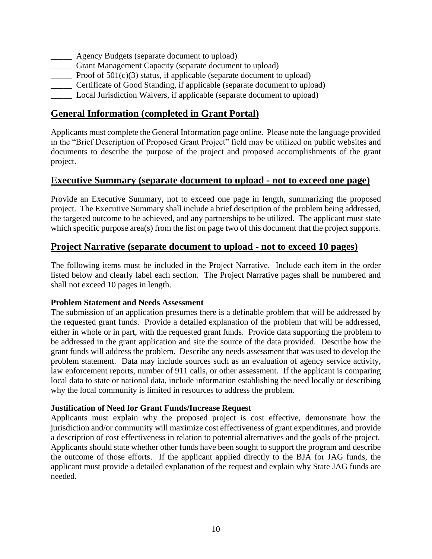- **EXECUTE:** Agency Budgets (separate document to upload)
- \_\_\_\_\_ Grant Management Capacity (separate document to upload)
- Proof of  $501(c)(3)$  status, if applicable (separate document to upload)
- \_\_\_\_\_ Certificate of Good Standing, if applicable (separate document to upload)
- \_\_\_\_\_ Local Jurisdiction Waivers, if applicable (separate document to upload)

# **General Information (completed in Grant Portal)**

Applicants must complete the General Information page online. Please note the language provided in the "Brief Description of Proposed Grant Project" field may be utilized on public websites and documents to describe the purpose of the project and proposed accomplishments of the grant project.

# **Executive Summary (separate document to upload - not to exceed one page)**

Provide an Executive Summary, not to exceed one page in length, summarizing the proposed project. The Executive Summary shall include a brief description of the problem being addressed, the targeted outcome to be achieved, and any partnerships to be utilized. The applicant must state which specific purpose area(s) from the list on page two of this document that the project supports.

# **Project Narrative (separate document to upload - not to exceed 10 pages)**

The following items must be included in the Project Narrative. Include each item in the order listed below and clearly label each section. The Project Narrative pages shall be numbered and shall not exceed 10 pages in length.

#### **Problem Statement and Needs Assessment**

The submission of an application presumes there is a definable problem that will be addressed by the requested grant funds. Provide a detailed explanation of the problem that will be addressed, either in whole or in part, with the requested grant funds. Provide data supporting the problem to be addressed in the grant application and site the source of the data provided. Describe how the grant funds will address the problem. Describe any needs assessment that was used to develop the problem statement. Data may include sources such as an evaluation of agency service activity, law enforcement reports, number of 911 calls, or other assessment. If the applicant is comparing local data to state or national data, include information establishing the need locally or describing why the local community is limited in resources to address the problem.

#### **Justification of Need for Grant Funds/Increase Request**

Applicants must explain why the proposed project is cost effective, demonstrate how the jurisdiction and/or community will maximize cost effectiveness of grant expenditures, and provide a description of cost effectiveness in relation to potential alternatives and the goals of the project. Applicants should state whether other funds have been sought to support the program and describe the outcome of those efforts. If the applicant applied directly to the BJA for JAG funds, the applicant must provide a detailed explanation of the request and explain why State JAG funds are needed.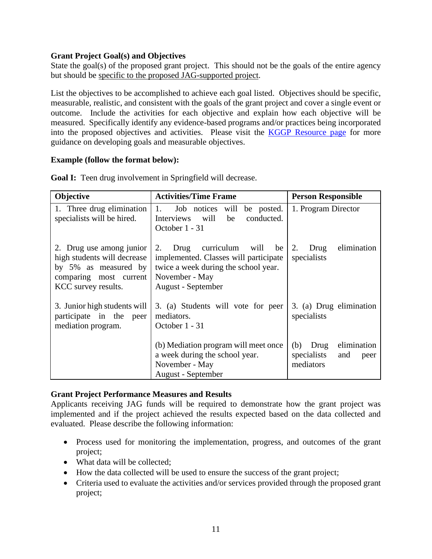## **Grant Project Goal(s) and Objectives**

State the goal(s) of the proposed grant project. This should not be the goals of the entire agency but should be specific to the proposed JAG-supported project.

List the objectives to be accomplished to achieve each goal listed. Objectives should be specific, measurable, realistic, and consistent with the goals of the grant project and cover a single event or outcome. Include the activities for each objective and explain how each objective will be measured. Specifically identify any evidence-based programs and/or practices being incorporated into the proposed objectives and activities. Please visit the [KGGP Resource page](http://www.grants.ks.gov/resources/getting-started) for more guidance on developing goals and measurable objectives.

## **Example (follow the format below):**

| Objective                                                                                                                        | <b>Activities/Time Frame</b>                                                                                                                                 | <b>Person Responsible</b>                                             |  |
|----------------------------------------------------------------------------------------------------------------------------------|--------------------------------------------------------------------------------------------------------------------------------------------------------------|-----------------------------------------------------------------------|--|
| 1. Three drug elimination<br>specialists will be hired.                                                                          | 1.<br>be posted.<br>Job notices<br>will<br>will<br>conducted.<br>Interviews<br>be<br>October 1 - 31                                                          | 1. Program Director                                                   |  |
| 2. Drug use among junior<br>high students will decrease<br>by 5% as measured by<br>comparing most current<br>KCC survey results. | curriculum will<br>2.<br>Drug<br>be<br>implemented. Classes will participate<br>twice a week during the school year.<br>November - May<br>August - September | elimination<br>2.<br>Drug<br>specialists                              |  |
| 3. Junior high students will<br>participate in the peer<br>mediation program.                                                    | 3. (a) Students will vote for peer<br>mediators.<br>October 1 - 31                                                                                           | 3. (a) Drug elimination<br>specialists                                |  |
|                                                                                                                                  | (b) Mediation program will meet once<br>a week during the school year.<br>November - May<br>August - September                                               | elimination<br>(b)<br>Drug<br>specialists<br>and<br>peer<br>mediators |  |

**Goal I:** Teen drug involvement in Springfield will decrease.

# **Grant Project Performance Measures and Results**

Applicants receiving JAG funds will be required to demonstrate how the grant project was implemented and if the project achieved the results expected based on the data collected and evaluated. Please describe the following information:

- Process used for monitoring the implementation, progress, and outcomes of the grant project;
- What data will be collected:
- How the data collected will be used to ensure the success of the grant project;
- Criteria used to evaluate the activities and/or services provided through the proposed grant project;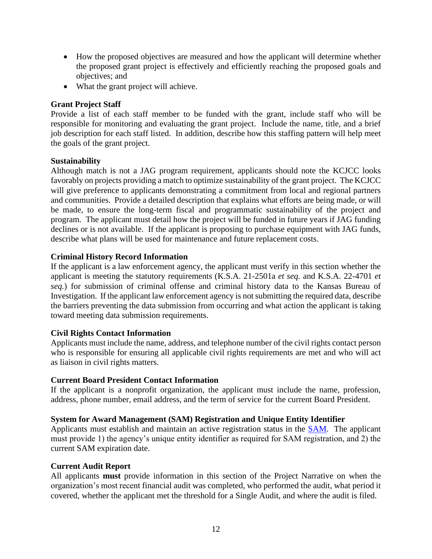- How the proposed objectives are measured and how the applicant will determine whether the proposed grant project is effectively and efficiently reaching the proposed goals and objectives; and
- What the grant project will achieve.

#### **Grant Project Staff**

Provide a list of each staff member to be funded with the grant, include staff who will be responsible for monitoring and evaluating the grant project. Include the name, title, and a brief job description for each staff listed. In addition, describe how this staffing pattern will help meet the goals of the grant project.

#### **Sustainability**

Although match is not a JAG program requirement, applicants should note the KCJCC looks favorably on projects providing a match to optimize sustainability of the grant project. The KCJCC will give preference to applicants demonstrating a commitment from local and regional partners and communities. Provide a detailed description that explains what efforts are being made, or will be made, to ensure the long-term fiscal and programmatic sustainability of the project and program. The applicant must detail how the project will be funded in future years if JAG funding declines or is not available. If the applicant is proposing to purchase equipment with JAG funds, describe what plans will be used for maintenance and future replacement costs.

#### **Criminal History Record Information**

If the applicant is a law enforcement agency, the applicant must verify in this section whether the applicant is meeting the statutory requirements (K.S.A. 21-2501a *et seq.* and K.S.A. 22-4701 *et seq.*) for submission of criminal offense and criminal history data to the Kansas Bureau of Investigation. If the applicant law enforcement agency is not submitting the required data, describe the barriers preventing the data submission from occurring and what action the applicant is taking toward meeting data submission requirements.

#### **Civil Rights Contact Information**

Applicants must include the name, address, and telephone number of the civil rights contact person who is responsible for ensuring all applicable civil rights requirements are met and who will act as liaison in civil rights matters.

#### **Current Board President Contact Information**

If the applicant is a nonprofit organization, the applicant must include the name, profession, address, phone number, email address, and the term of service for the current Board President.

#### **System for Award Management (SAM) Registration and Unique Entity Identifier**

Applicants must establish and maintain an active registration status in the [SAM.](http://www.sam.gov/) The applicant must provide 1) the agency's unique entity identifier as required for SAM registration, and 2) the current SAM expiration date.

#### **Current Audit Report**

All applicants **must** provide information in this section of the Project Narrative on when the organization's most recent financial audit was completed, who performed the audit, what period it covered, whether the applicant met the threshold for a Single Audit, and where the audit is filed.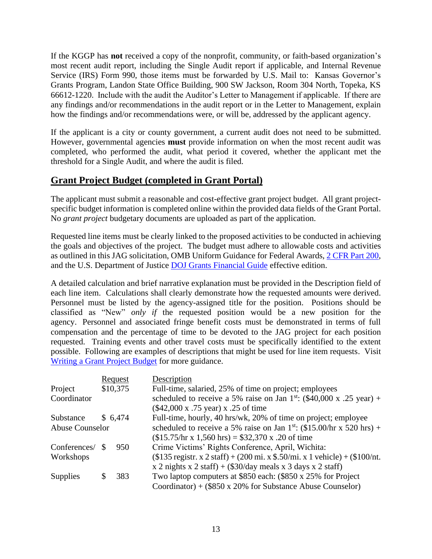If the KGGP has **not** received a copy of the nonprofit, community, or faith-based organization's most recent audit report, including the Single Audit report if applicable, and Internal Revenue Service (IRS) Form 990, those items must be forwarded by U.S. Mail to:Kansas Governor's Grants Program, Landon State Office Building, 900 SW Jackson, Room 304 North, Topeka, KS 66612-1220. Include with the audit the Auditor's Letter to Management if applicable. If there are any findings and/or recommendations in the audit report or in the Letter to Management, explain how the findings and/or recommendations were, or will be, addressed by the applicant agency.

If the applicant is a city or county government, a current audit does not need to be submitted. However, governmental agencies **must** provide information on when the most recent audit was completed, who performed the audit, what period it covered, whether the applicant met the threshold for a Single Audit, and where the audit is filed.

# **Grant Project Budget (completed in Grant Portal)**

The applicant must submit a reasonable and cost-effective grant project budget. All grant projectspecific budget information is completed online within the provided data fields of the Grant Portal. No *grant project* budgetary documents are uploaded as part of the application.

Requested line items must be clearly linked to the proposed activities to be conducted in achieving the goals and objectives of the project. The budget must adhere to allowable costs and activities as outlined in this JAG solicitation, OMB Uniform Guidance for Federal Awards, [2 CFR Part 200,](http://www.ecfr.gov/cgi-bin/text-idx?SID=2c6d1c9f8de1f9619110b4599d84a234&mc=true&node=pt2.1.200&rgn=div5#_top) and the U.S. Department of Justice [DOJ Grants Financial Guide](http://ojp.gov/financialguide/DOJ/index.htm) effective edition.

A detailed calculation and brief narrative explanation must be provided in the Description field of each line item. Calculations shall clearly demonstrate how the requested amounts were derived. Personnel must be listed by the agency-assigned title for the position. Positions should be classified as "New" *only if* the requested position would be a new position for the agency. Personnel and associated fringe benefit costs must be demonstrated in terms of full compensation and the percentage of time to be devoted to the JAG project for each position requested. Training events and other travel costs must be specifically identified to the extent possible. Following are examples of descriptions that might be used for line item requests. Visit [Writing a Grant Project Budget](https://grants.ks.gov/docs/default-source/how-to-guides/writing-a-grant-project-budget-guide.pdf?sfvrsn=2d1f541a_4) for more guidance.

|                        |          | Request  | Description                                                                       |  |
|------------------------|----------|----------|-----------------------------------------------------------------------------------|--|
| Project                |          | \$10,375 | Full-time, salaried, 25% of time on project; employees                            |  |
| Coordinator            |          |          | scheduled to receive a 5% raise on Jan 1 <sup>st</sup> : (\$40,000 x .25 year) +  |  |
|                        |          |          | (\$42,000 x .75 year) x .25 of time                                               |  |
| Substance              |          | \$6,474  | Full-time, hourly, 40 hrs/wk, 20% of time on project; employee                    |  |
| <b>Abuse Counselor</b> |          |          | scheduled to receive a 5% raise on Jan 1 <sup>st</sup> : (\$15.00/hr x 520 hrs) + |  |
|                        |          |          | $($15.75/hr \times 1,560 hrs) = $32,370 \times .20 \text{ of time}$               |  |
| Conferences/           | <b>S</b> | 950      | Crime Victims' Rights Conference, April, Wichita:                                 |  |
| Workshops              |          |          | $($135$ registr. x 2 staff) + (200 mi. x \$.50/mi. x 1 vehicle) + (\$100/nt.      |  |
|                        |          |          | x 2 nights x 2 staff) + $(\$30/day$ meals x 3 days x 2 staff)                     |  |
| <b>Supplies</b>        | S        | 383      | Two laptop computers at \$850 each: (\$850 x 25% for Project                      |  |
|                        |          |          | Coordinator) + $(\$850 \times 20\%$ for Substance Abuse Counselor)                |  |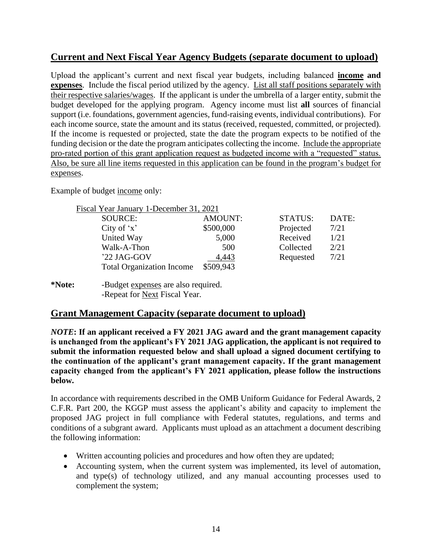# **Current and Next Fiscal Year Agency Budgets (separate document to upload)**

Upload the applicant's current and next fiscal year budgets, including balanced **income and expenses**. Include the fiscal period utilized by the agency. List all staff positions separately with their respective salaries/wages. If the applicant is under the umbrella of a larger entity, submit the budget developed for the applying program. Agency income must list **all** sources of financial support (i.e. foundations, government agencies, fund-raising events, individual contributions). For each income source, state the amount and its status (received, requested, committed, or projected). If the income is requested or projected, state the date the program expects to be notified of the funding decision or the date the program anticipates collecting the income. Include the appropriate pro-rated portion of this grant application request as budgeted income with a "requested" status. Also, be sure all line items requested in this application can be found in the program's budget for expenses.

Example of budget income only:

| Fiscal Year January 1-December 31, 2021 |                |                |       |
|-----------------------------------------|----------------|----------------|-------|
| <b>SOURCE:</b>                          | <b>AMOUNT:</b> | <b>STATUS:</b> | DATE: |
| City of $x'$                            | \$500,000      | Projected      | 7/21  |
| United Way                              | 5,000          | Received       | 1/21  |
| Walk-A-Thon                             | 500            | Collected      | 2/21  |
| '22 JAG-GOV                             | 4,443          | Requested      | 7/21  |
| <b>Total Organization Income</b>        | \$509,943      |                |       |

#### **\*Note:** -Budget expenses are also required. -Repeat for Next Fiscal Year.

# **Grant Management Capacity (separate document to upload)**

*NOTE***: If an applicant received a FY 2021 JAG award and the grant management capacity is unchanged from the applicant's FY 2021 JAG application, the applicant is not required to submit the information requested below and shall upload a signed document certifying to the continuation of the applicant's grant management capacity. If the grant management capacity changed from the applicant's FY 2021 application, please follow the instructions below.**

In accordance with requirements described in the OMB Uniform Guidance for Federal Awards, 2 C.F.R. Part 200, the KGGP must assess the applicant's ability and capacity to implement the proposed JAG project in full compliance with Federal statutes, regulations, and terms and conditions of a subgrant award. Applicants must upload as an attachment a document describing the following information:

- Written accounting policies and procedures and how often they are updated;
- Accounting system, when the current system was implemented, its level of automation, and type(s) of technology utilized, and any manual accounting processes used to complement the system;